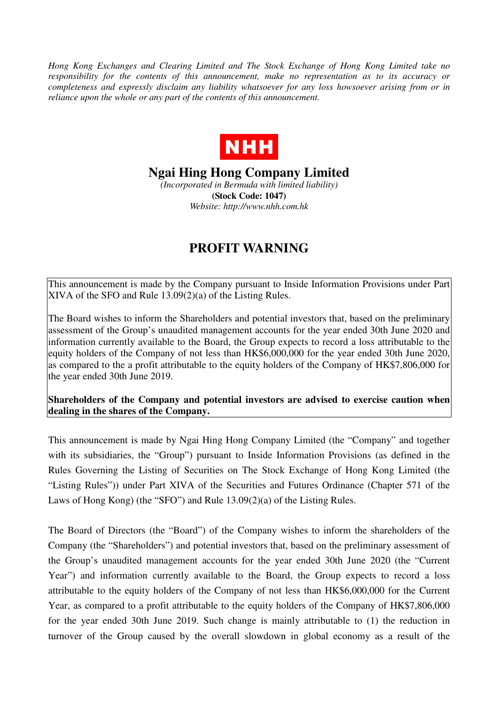*Hong Kong Exchanges and Clearing Limited and The Stock Exchange of Hong Kong Limited take no responsibility for the contents of this announcement, make no representation as to its accuracy or completeness and expressly disclaim any liability whatsoever for any loss howsoever arising from or in reliance upon the whole or any part of the contents of this announcement.* 



**Ngai Hing Hong Company Limited** 

*(Incorporated in Bermuda with limited liability)*  **(Stock Code: 1047)**  *Website: http://www.nhh.com.hk* 

## **PROFIT WARNING**

This announcement is made by the Company pursuant to Inside Information Provisions under Part XIVA of the SFO and Rule 13.09(2)(a) of the Listing Rules.

The Board wishes to inform the Shareholders and potential investors that, based on the preliminary assessment of the Group's unaudited management accounts for the year ended 30th June 2020 and information currently available to the Board, the Group expects to record a loss attributable to the equity holders of the Company of not less than HK\$6,000,000 for the year ended 30th June 2020, as compared to the a profit attributable to the equity holders of the Company of HK\$7,806,000 for the year ended 30th June 2019.

**Shareholders of the Company and potential investors are advised to exercise caution when dealing in the shares of the Company.** 

This announcement is made by Ngai Hing Hong Company Limited (the "Company" and together with its subsidiaries, the "Group") pursuant to Inside Information Provisions (as defined in the Rules Governing the Listing of Securities on The Stock Exchange of Hong Kong Limited (the "Listing Rules")) under Part XIVA of the Securities and Futures Ordinance (Chapter 571 of the Laws of Hong Kong) (the "SFO") and Rule 13.09(2)(a) of the Listing Rules.

The Board of Directors (the "Board") of the Company wishes to inform the shareholders of the Company (the "Shareholders") and potential investors that, based on the preliminary assessment of the Group's unaudited management accounts for the year ended 30th June 2020 (the "Current Year") and information currently available to the Board, the Group expects to record a loss attributable to the equity holders of the Company of not less than HK\$6,000,000 for the Current Year, as compared to a profit attributable to the equity holders of the Company of HK\$7,806,000 for the year ended 30th June 2019. Such change is mainly attributable to (1) the reduction in turnover of the Group caused by the overall slowdown in global economy as a result of the